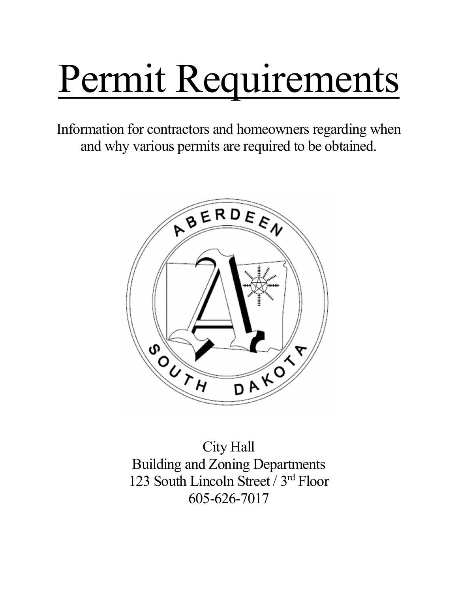# Permit Requirements

Information for contractors and homeowners regarding when and why various permits are required to be obtained.



City Hall Building and Zoning Departments 123 South Lincoln Street / 3rd Floor 605-626-7017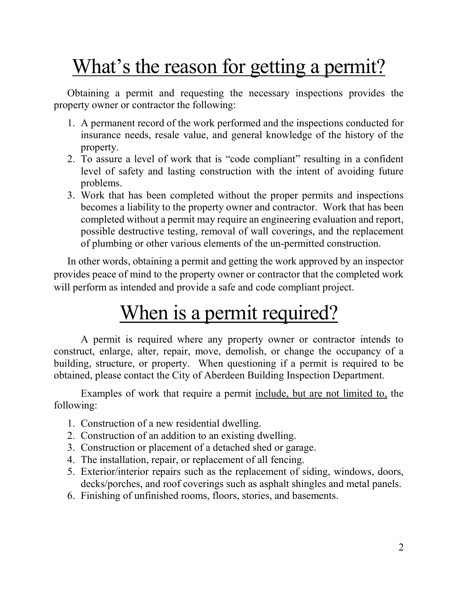# What's the reason for getting a permit?

Obtaining a permit and requesting the necessary inspections provides the property owner or contractor the following:

- 1. A permanent record of the work performed and the inspections conducted for insurance needs, resale value, and general knowledge of the history of the property.
- 2. To assure a level of work that is "code compliant" resulting in a confident level of safety and lasting construction with the intent of avoiding future problems.
- 3. Work that has been completed without the proper permits and inspections becomes a liability to the property owner and contractor. Work that has been completed without a permit may require an engineering evaluation and report, possible destructive testing, removal of wall coverings, and the replacement of plumbing or other various elements of the un-permitted construction.

In other words, obtaining a permit and getting the work approved by an inspector provides peace of mind to the property owner or contractor that the completed work will perform as intended and provide a safe and code compliant project.

## When is a permit required?

A permit is required where any property owner or contractor intends to construct, enlarge, alter, repair, move, demolish, or change the occupancy of a building, structure, or property. When questioning if a permit is required to be obtained, please contact the City of Aberdeen Building Inspection Department.

Examples of work that require a permit include, but are not limited to, the following:

- 1. Construction of a new residential dwelling.
- 2. Construction of an addition to an existing dwelling.
- 3. Construction or placement of a detached shed or garage.
- 4. The installation, repair, or replacement of all fencing.
- 5. Exterior/interior repairs such as the replacement of siding, windows, doors, decks/porches, and roof coverings such as asphalt shingles and metal panels.
- 6. Finishing of unfinished rooms, floors, stories, and basements.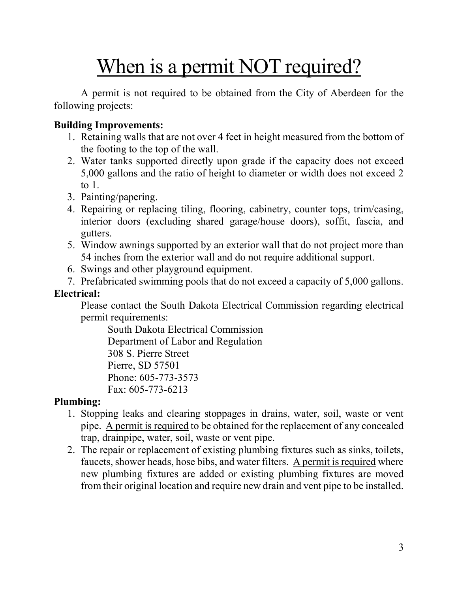## When is a permit NOT required?

A permit is not required to be obtained from the City of Aberdeen for the following projects:

#### Building Improvements:

- 1. Retaining walls that are not over 4 feet in height measured from the bottom of the footing to the top of the wall.
- 2. Water tanks supported directly upon grade if the capacity does not exceed 5,000 gallons and the ratio of height to diameter or width does not exceed 2 to 1.
- 3. Painting/papering.
- 4. Repairing or replacing tiling, flooring, cabinetry, counter tops, trim/casing, interior doors (excluding shared garage/house doors), soffit, fascia, and gutters.
- 5. Window awnings supported by an exterior wall that do not project more than 54 inches from the exterior wall and do not require additional support.
- 6. Swings and other playground equipment.
- 7. Prefabricated swimming pools that do not exceed a capacity of 5,000 gallons.

#### Electrical:

Please contact the South Dakota Electrical Commission regarding electrical permit requirements:

South Dakota Electrical Commission Department of Labor and Regulation 308 S. Pierre Street Pierre, SD 57501 Phone: 605-773-3573 Fax: 605-773-6213

#### Plumbing:

- 1. Stopping leaks and clearing stoppages in drains, water, soil, waste or vent pipe. A permit is required to be obtained for the replacement of any concealed trap, drainpipe, water, soil, waste or vent pipe.
- 2. The repair or replacement of existing plumbing fixtures such as sinks, toilets, faucets, shower heads, hose bibs, and water filters. A permit is required where new plumbing fixtures are added or existing plumbing fixtures are moved from their original location and require new drain and vent pipe to be installed.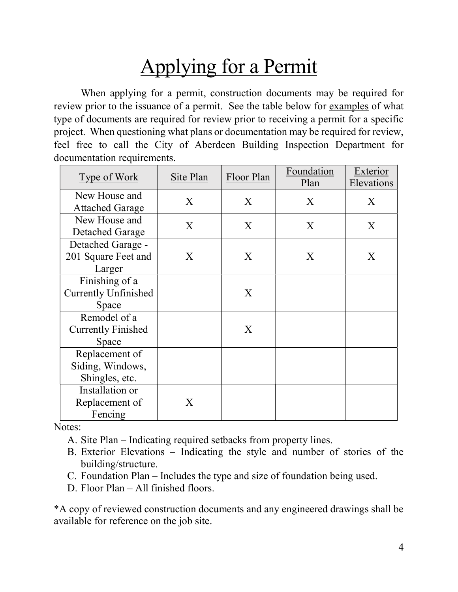# Applying for a Permit

When applying for a permit, construction documents may be required for review prior to the issuance of a permit. See the table below for examples of what type of documents are required for review prior to receiving a permit for a specific project. When questioning what plans or documentation may be required for review, feel free to call the City of Aberdeen Building Inspection Department for documentation requirements.

| Type of Work                | Site Plan | Floor Plan | Foundation | Exterior   |
|-----------------------------|-----------|------------|------------|------------|
|                             |           |            | Plan       | Elevations |
| New House and               | X         | X          | X          | X          |
| <b>Attached Garage</b>      |           |            |            |            |
| New House and               | X         | X          | X          | X          |
| Detached Garage             |           |            |            |            |
| Detached Garage -           |           |            |            |            |
| 201 Square Feet and         | X         | X          | X          | X          |
| Larger                      |           |            |            |            |
| Finishing of a              |           |            |            |            |
| <b>Currently Unfinished</b> |           | X          |            |            |
| Space                       |           |            |            |            |
| Remodel of a                |           |            |            |            |
| <b>Currently Finished</b>   |           | X          |            |            |
| Space                       |           |            |            |            |
| Replacement of              |           |            |            |            |
| Siding, Windows,            |           |            |            |            |
| Shingles, etc.              |           |            |            |            |
| Installation or             |           |            |            |            |
| Replacement of              | X         |            |            |            |
| Fencing                     |           |            |            |            |

Notes:

- A. Site Plan Indicating required setbacks from property lines.
- B. Exterior Elevations Indicating the style and number of stories of the building/structure.
- C. Foundation Plan Includes the type and size of foundation being used.
- D. Floor Plan All finished floors.

\*A copy of reviewed construction documents and any engineered drawings shall be available for reference on the job site.